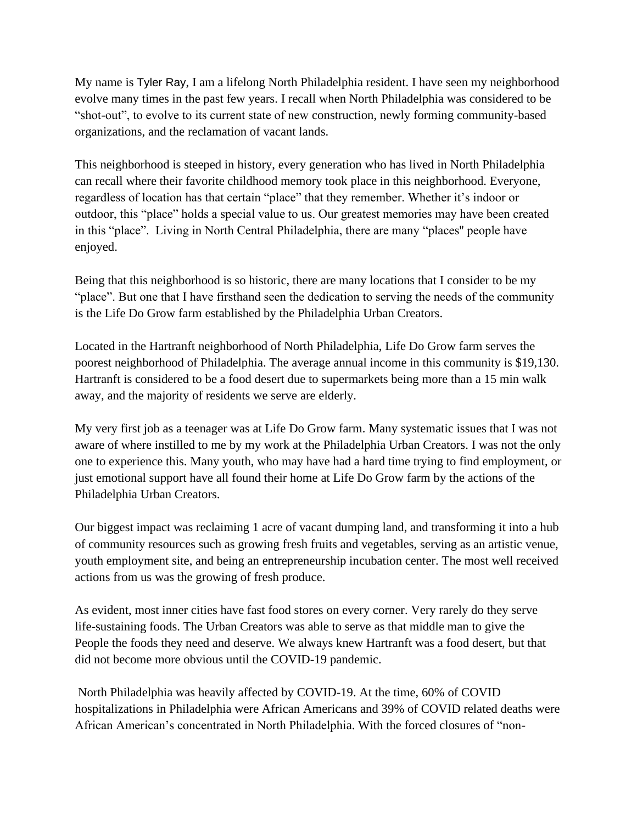My name is Tyler Ray, I am a lifelong North Philadelphia resident. I have seen my neighborhood evolve many times in the past few years. I recall when North Philadelphia was considered to be "shot-out", to evolve to its current state of new construction, newly forming community-based organizations, and the reclamation of vacant lands.

This neighborhood is steeped in history, every generation who has lived in North Philadelphia can recall where their favorite childhood memory took place in this neighborhood. Everyone, regardless of location has that certain "place" that they remember. Whether it's indoor or outdoor, this "place" holds a special value to us. Our greatest memories may have been created in this "place". Living in North Central Philadelphia, there are many "places'' people have enjoyed.

Being that this neighborhood is so historic, there are many locations that I consider to be my "place". But one that I have firsthand seen the dedication to serving the needs of the community is the Life Do Grow farm established by the Philadelphia Urban Creators.

Located in the Hartranft neighborhood of North Philadelphia, Life Do Grow farm serves the poorest neighborhood of Philadelphia. The average annual income in this community is \$19,130. Hartranft is considered to be a food desert due to supermarkets being more than a 15 min walk away, and the majority of residents we serve are elderly.

My very first job as a teenager was at Life Do Grow farm. Many systematic issues that I was not aware of where instilled to me by my work at the Philadelphia Urban Creators. I was not the only one to experience this. Many youth, who may have had a hard time trying to find employment, or just emotional support have all found their home at Life Do Grow farm by the actions of the Philadelphia Urban Creators.

Our biggest impact was reclaiming 1 acre of vacant dumping land, and transforming it into a hub of community resources such as growing fresh fruits and vegetables, serving as an artistic venue, youth employment site, and being an entrepreneurship incubation center. The most well received actions from us was the growing of fresh produce.

As evident, most inner cities have fast food stores on every corner. Very rarely do they serve life-sustaining foods. The Urban Creators was able to serve as that middle man to give the People the foods they need and deserve. We always knew Hartranft was a food desert, but that did not become more obvious until the COVID-19 pandemic.

North Philadelphia was heavily affected by COVID-19. At the time, 60% of COVID hospitalizations in Philadelphia were African Americans and 39% of COVID related deaths were African American's concentrated in North Philadelphia. With the forced closures of "non